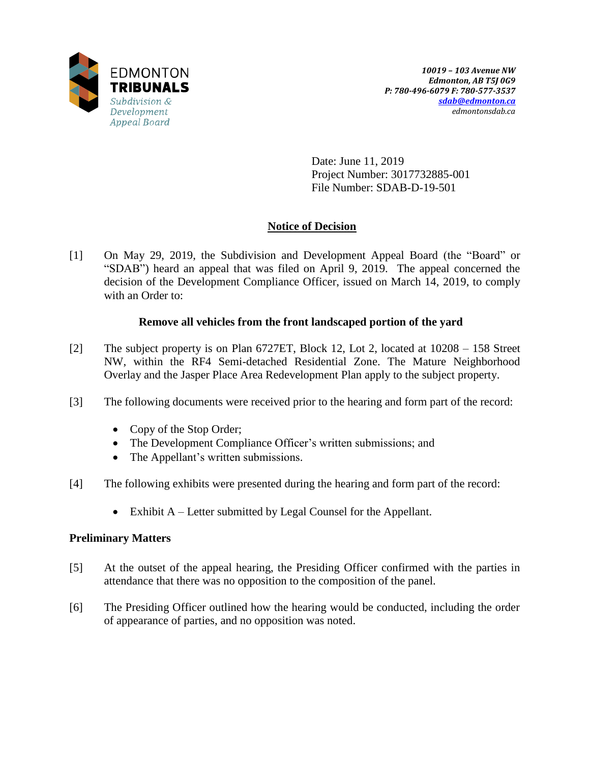

Date: June 11, 2019 Project Number: 3017732885-001 File Number: SDAB-D-19-501

# **Notice of Decision**

[1] On May 29, 2019, the Subdivision and Development Appeal Board (the "Board" or "SDAB") heard an appeal that was filed on April 9, 2019. The appeal concerned the decision of the Development Compliance Officer, issued on March 14, 2019, to comply with an Order to:

# **Remove all vehicles from the front landscaped portion of the yard**

- [2] The subject property is on Plan 6727ET, Block 12, Lot 2, located at 10208 158 Street NW, within the RF4 Semi-detached Residential Zone. The Mature Neighborhood Overlay and the Jasper Place Area Redevelopment Plan apply to the subject property.
- [3] The following documents were received prior to the hearing and form part of the record:
	- Copy of the Stop Order;
	- The Development Compliance Officer's written submissions; and
	- The Appellant's written submissions.
- [4] The following exhibits were presented during the hearing and form part of the record:
	- Exhibit A Letter submitted by Legal Counsel for the Appellant.

# **Preliminary Matters**

- [5] At the outset of the appeal hearing, the Presiding Officer confirmed with the parties in attendance that there was no opposition to the composition of the panel.
- [6] The Presiding Officer outlined how the hearing would be conducted, including the order of appearance of parties, and no opposition was noted.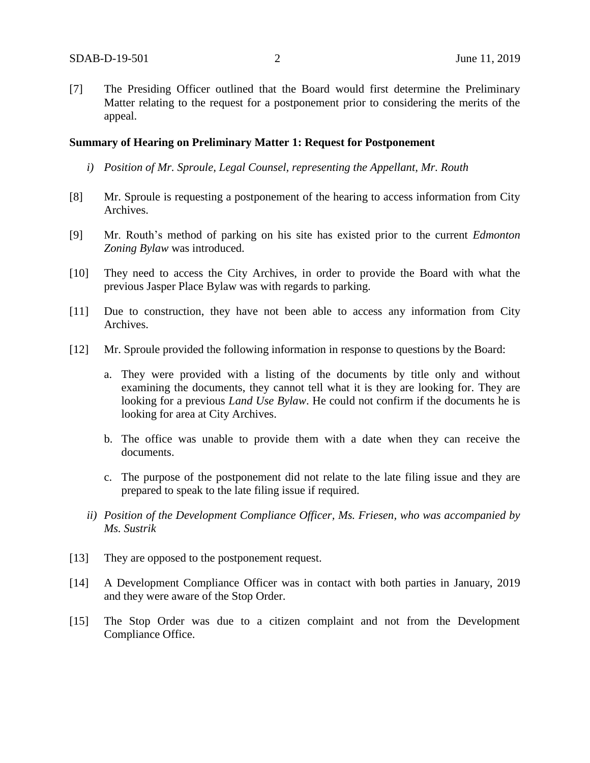[7] The Presiding Officer outlined that the Board would first determine the Preliminary Matter relating to the request for a postponement prior to considering the merits of the appeal.

#### **Summary of Hearing on Preliminary Matter 1: Request for Postponement**

- *i) Position of Mr. Sproule, Legal Counsel, representing the Appellant, Mr. Routh*
- [8] Mr. Sproule is requesting a postponement of the hearing to access information from City Archives.
- [9] Mr. Routh's method of parking on his site has existed prior to the current *Edmonton Zoning Bylaw* was introduced.
- [10] They need to access the City Archives, in order to provide the Board with what the previous Jasper Place Bylaw was with regards to parking.
- [11] Due to construction, they have not been able to access any information from City Archives.
- [12] Mr. Sproule provided the following information in response to questions by the Board:
	- a. They were provided with a listing of the documents by title only and without examining the documents, they cannot tell what it is they are looking for. They are looking for a previous *Land Use Bylaw*. He could not confirm if the documents he is looking for area at City Archives.
	- b. The office was unable to provide them with a date when they can receive the documents.
	- c. The purpose of the postponement did not relate to the late filing issue and they are prepared to speak to the late filing issue if required.
	- *ii) Position of the Development Compliance Officer, Ms. Friesen, who was accompanied by Ms. Sustrik*
- [13] They are opposed to the postponement request.
- [14] A Development Compliance Officer was in contact with both parties in January, 2019 and they were aware of the Stop Order.
- [15] The Stop Order was due to a citizen complaint and not from the Development Compliance Office.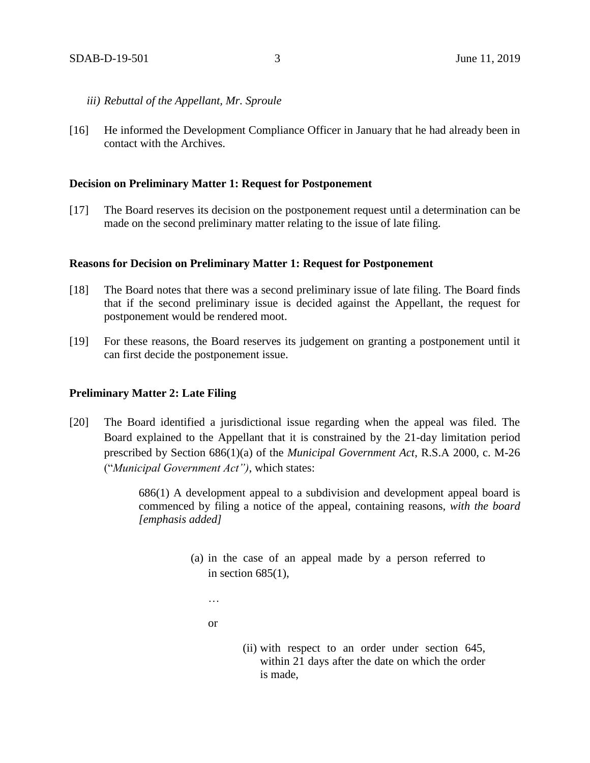- *iii) Rebuttal of the Appellant, Mr. Sproule*
- [16] He informed the Development Compliance Officer in January that he had already been in contact with the Archives.

### **Decision on Preliminary Matter 1: Request for Postponement**

[17] The Board reserves its decision on the postponement request until a determination can be made on the second preliminary matter relating to the issue of late filing.

### **Reasons for Decision on Preliminary Matter 1: Request for Postponement**

- [18] The Board notes that there was a second preliminary issue of late filing. The Board finds that if the second preliminary issue is decided against the Appellant, the request for postponement would be rendered moot.
- [19] For these reasons, the Board reserves its judgement on granting a postponement until it can first decide the postponement issue.

### **Preliminary Matter 2: Late Filing**

[20] The Board identified a jurisdictional issue regarding when the appeal was filed. The Board explained to the Appellant that it is constrained by the 21-day limitation period prescribed by Section 686(1)(a) of the *Municipal Government Act*, R.S.A 2000, c. M-26 ("*Municipal Government Act")*, which states:

> 686(1) A development appeal to a subdivision and development appeal board is commenced by filing a notice of the appeal, containing reasons, *with the board [emphasis added]*

- (a) in the case of an appeal made by a person referred to in section  $685(1)$ ,
	- …

or

(ii) with respect to an order under section 645, within 21 days after the date on which the order is made,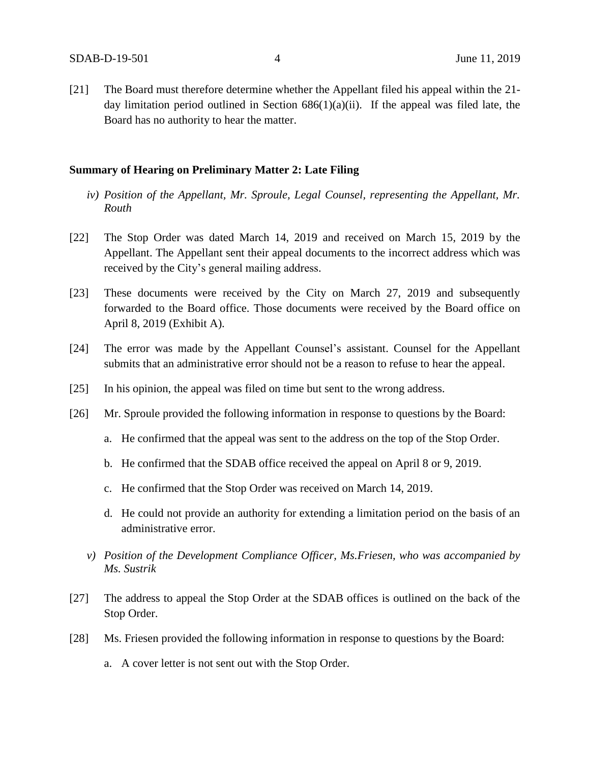[21] The Board must therefore determine whether the Appellant filed his appeal within the 21 day limitation period outlined in Section  $686(1)(a)(ii)$ . If the appeal was filed late, the Board has no authority to hear the matter.

### **Summary of Hearing on Preliminary Matter 2: Late Filing**

- *iv) Position of the Appellant, Mr. Sproule, Legal Counsel, representing the Appellant, Mr. Routh*
- [22] The Stop Order was dated March 14, 2019 and received on March 15, 2019 by the Appellant. The Appellant sent their appeal documents to the incorrect address which was received by the City's general mailing address.
- [23] These documents were received by the City on March 27, 2019 and subsequently forwarded to the Board office. Those documents were received by the Board office on April 8, 2019 (Exhibit A).
- [24] The error was made by the Appellant Counsel's assistant. Counsel for the Appellant submits that an administrative error should not be a reason to refuse to hear the appeal.
- [25] In his opinion, the appeal was filed on time but sent to the wrong address.
- [26] Mr. Sproule provided the following information in response to questions by the Board:
	- a. He confirmed that the appeal was sent to the address on the top of the Stop Order.
	- b. He confirmed that the SDAB office received the appeal on April 8 or 9, 2019.
	- c. He confirmed that the Stop Order was received on March 14, 2019.
	- d. He could not provide an authority for extending a limitation period on the basis of an administrative error.
	- *v) Position of the Development Compliance Officer, Ms.Friesen, who was accompanied by Ms. Sustrik*
- [27] The address to appeal the Stop Order at the SDAB offices is outlined on the back of the Stop Order.
- [28] Ms. Friesen provided the following information in response to questions by the Board:
	- a. A cover letter is not sent out with the Stop Order.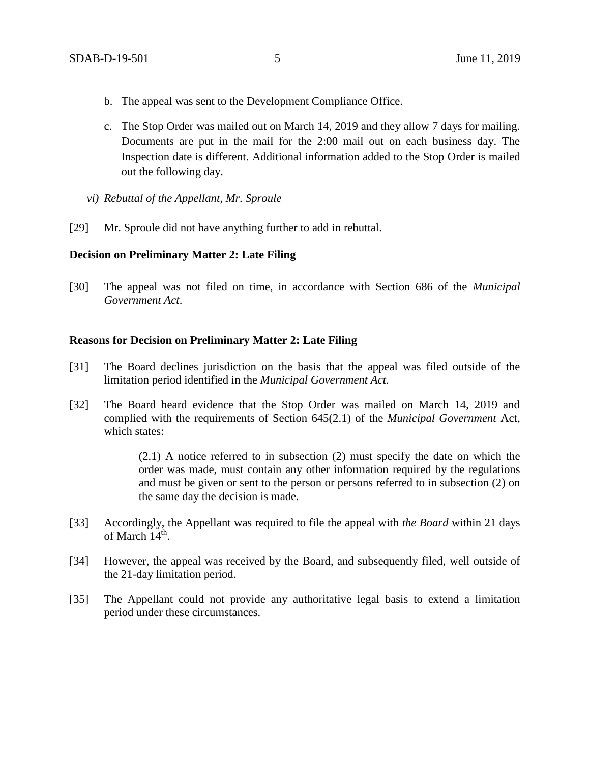- b. The appeal was sent to the Development Compliance Office.
- c. The Stop Order was mailed out on March 14, 2019 and they allow 7 days for mailing. Documents are put in the mail for the 2:00 mail out on each business day. The Inspection date is different. Additional information added to the Stop Order is mailed out the following day.
- *vi) Rebuttal of the Appellant, Mr. Sproule*
- [29] Mr. Sproule did not have anything further to add in rebuttal.

## **Decision on Preliminary Matter 2: Late Filing**

[30] The appeal was not filed on time, in accordance with Section 686 of the *Municipal Government Act*.

## **Reasons for Decision on Preliminary Matter 2: Late Filing**

- [31] The Board declines jurisdiction on the basis that the appeal was filed outside of the limitation period identified in the *Municipal Government Act.*
- [32] The Board heard evidence that the Stop Order was mailed on March 14, 2019 and complied with the requirements of Section 645(2.1) of the *Municipal Government* Act, which states:

(2.1) A notice referred to in subsection (2) must specify the date on which the order was made, must contain any other information required by the regulations and must be given or sent to the person or persons referred to in subsection (2) on the same day the decision is made.

- [33] Accordingly, the Appellant was required to file the appeal with *the Board* within 21 days of March  $14^{\text{th}}$ .
- [34] However, the appeal was received by the Board, and subsequently filed, well outside of the 21-day limitation period.
- [35] The Appellant could not provide any authoritative legal basis to extend a limitation period under these circumstances.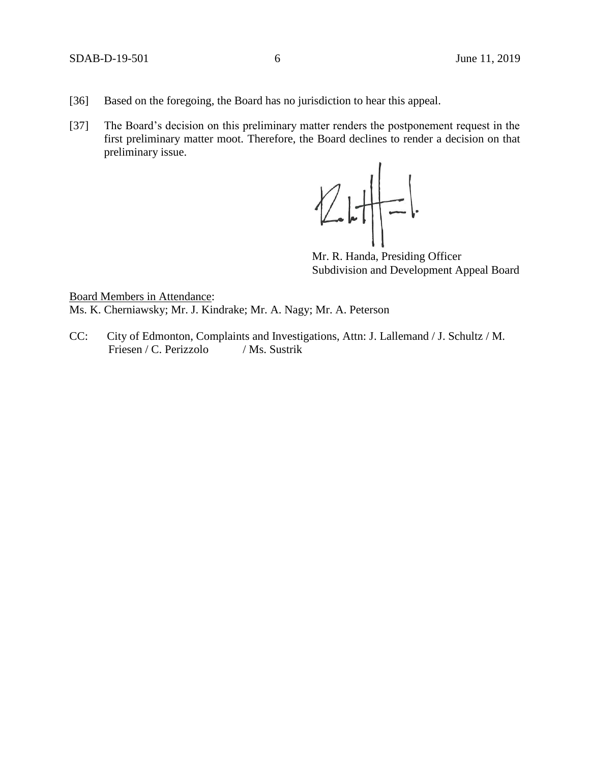- [36] Based on the foregoing, the Board has no jurisdiction to hear this appeal.
- [37] The Board's decision on this preliminary matter renders the postponement request in the first preliminary matter moot. Therefore, the Board declines to render a decision on that preliminary issue.



Mr. R. Handa, Presiding Officer Subdivision and Development Appeal Board

Board Members in Attendance: Ms. K. Cherniawsky; Mr. J. Kindrake; Mr. A. Nagy; Mr. A. Peterson

CC: City of Edmonton, Complaints and Investigations, Attn: J. Lallemand / J. Schultz / M. Friesen / C. Perizzolo / Ms. Sustrik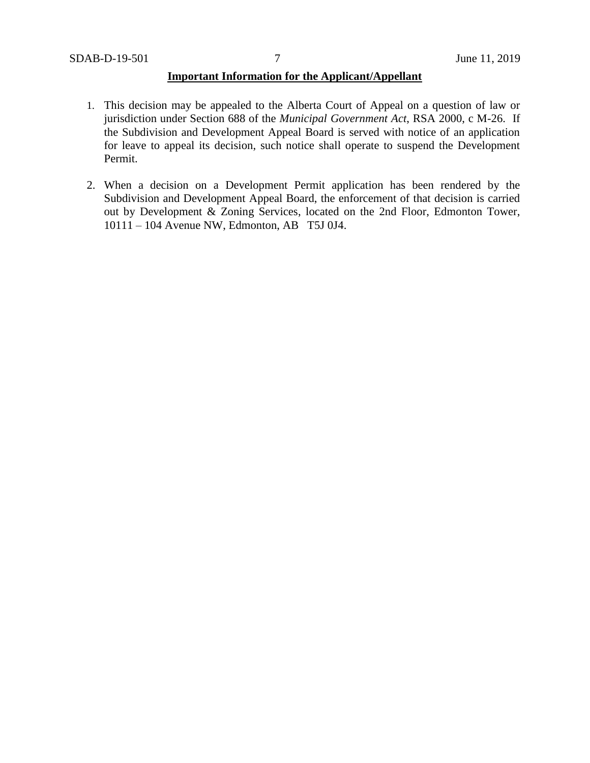# **Important Information for the Applicant/Appellant**

- 1. This decision may be appealed to the Alberta Court of Appeal on a question of law or jurisdiction under Section 688 of the *Municipal Government Act*, RSA 2000, c M-26. If the Subdivision and Development Appeal Board is served with notice of an application for leave to appeal its decision, such notice shall operate to suspend the Development Permit.
- 2. When a decision on a Development Permit application has been rendered by the Subdivision and Development Appeal Board, the enforcement of that decision is carried out by Development & Zoning Services, located on the 2nd Floor, Edmonton Tower, 10111 – 104 Avenue NW, Edmonton, AB T5J 0J4.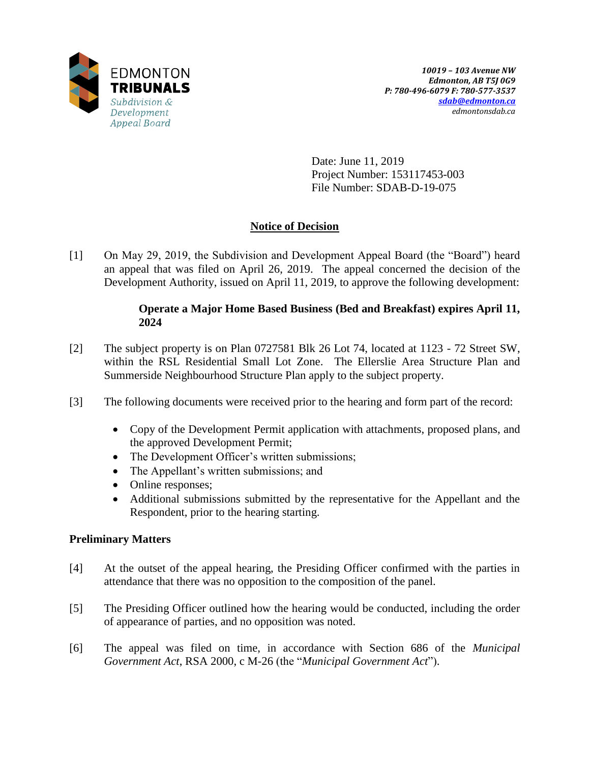

Date: June 11, 2019 Project Number: 153117453-003 File Number: SDAB-D-19-075

# **Notice of Decision**

[1] On May 29, 2019, the Subdivision and Development Appeal Board (the "Board") heard an appeal that was filed on April 26, 2019. The appeal concerned the decision of the Development Authority, issued on April 11, 2019, to approve the following development:

# **Operate a Major Home Based Business (Bed and Breakfast) expires April 11, 2024**

- [2] The subject property is on Plan 0727581 Blk 26 Lot 74, located at 1123 72 Street SW, within the RSL Residential Small Lot Zone. The Ellerslie Area Structure Plan and Summerside Neighbourhood Structure Plan apply to the subject property.
- [3] The following documents were received prior to the hearing and form part of the record:
	- Copy of the Development Permit application with attachments, proposed plans, and the approved Development Permit;
	- The Development Officer's written submissions;
	- The Appellant's written submissions; and
	- Online responses;
	- Additional submissions submitted by the representative for the Appellant and the Respondent, prior to the hearing starting.

# **Preliminary Matters**

- [4] At the outset of the appeal hearing, the Presiding Officer confirmed with the parties in attendance that there was no opposition to the composition of the panel.
- [5] The Presiding Officer outlined how the hearing would be conducted, including the order of appearance of parties, and no opposition was noted.
- [6] The appeal was filed on time, in accordance with Section 686 of the *Municipal Government Act*, RSA 2000, c M-26 (the "*Municipal Government Act*").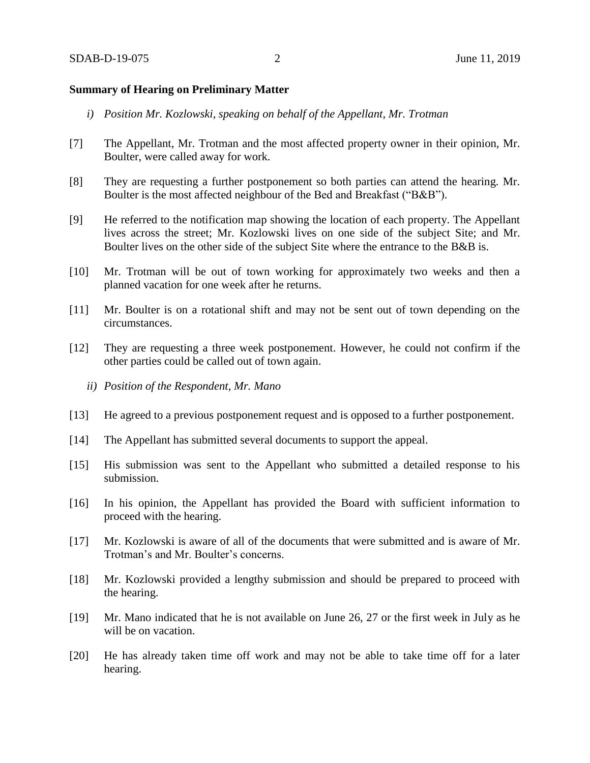### **Summary of Hearing on Preliminary Matter**

- *i) Position Mr. Kozlowski, speaking on behalf of the Appellant, Mr. Trotman*
- [7] The Appellant, Mr. Trotman and the most affected property owner in their opinion, Mr. Boulter, were called away for work.
- [8] They are requesting a further postponement so both parties can attend the hearing. Mr. Boulter is the most affected neighbour of the Bed and Breakfast ("B&B").
- [9] He referred to the notification map showing the location of each property. The Appellant lives across the street; Mr. Kozlowski lives on one side of the subject Site; and Mr. Boulter lives on the other side of the subject Site where the entrance to the B&B is.
- [10] Mr. Trotman will be out of town working for approximately two weeks and then a planned vacation for one week after he returns.
- [11] Mr. Boulter is on a rotational shift and may not be sent out of town depending on the circumstances.
- [12] They are requesting a three week postponement. However, he could not confirm if the other parties could be called out of town again.
	- *ii) Position of the Respondent, Mr. Mano*
- [13] He agreed to a previous postponement request and is opposed to a further postponement.
- [14] The Appellant has submitted several documents to support the appeal.
- [15] His submission was sent to the Appellant who submitted a detailed response to his submission.
- [16] In his opinion, the Appellant has provided the Board with sufficient information to proceed with the hearing.
- [17] Mr. Kozlowski is aware of all of the documents that were submitted and is aware of Mr. Trotman's and Mr. Boulter's concerns.
- [18] Mr. Kozlowski provided a lengthy submission and should be prepared to proceed with the hearing.
- [19] Mr. Mano indicated that he is not available on June 26, 27 or the first week in July as he will be on vacation.
- [20] He has already taken time off work and may not be able to take time off for a later hearing.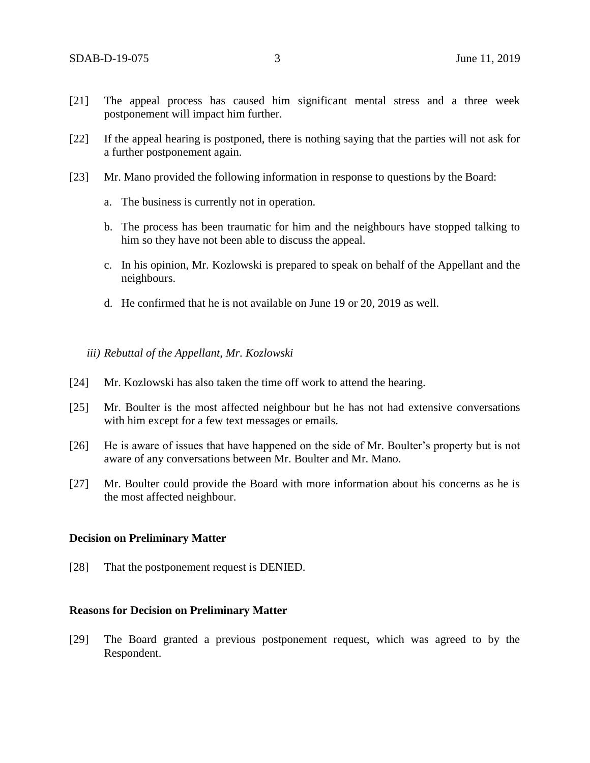- [21] The appeal process has caused him significant mental stress and a three week postponement will impact him further.
- [22] If the appeal hearing is postponed, there is nothing saying that the parties will not ask for a further postponement again.
- [23] Mr. Mano provided the following information in response to questions by the Board:
	- a. The business is currently not in operation.
	- b. The process has been traumatic for him and the neighbours have stopped talking to him so they have not been able to discuss the appeal.
	- c. In his opinion, Mr. Kozlowski is prepared to speak on behalf of the Appellant and the neighbours.
	- d. He confirmed that he is not available on June 19 or 20, 2019 as well.

## *iii) Rebuttal of the Appellant, Mr. Kozlowski*

- [24] Mr. Kozlowski has also taken the time off work to attend the hearing.
- [25] Mr. Boulter is the most affected neighbour but he has not had extensive conversations with him except for a few text messages or emails.
- [26] He is aware of issues that have happened on the side of Mr. Boulter's property but is not aware of any conversations between Mr. Boulter and Mr. Mano.
- [27] Mr. Boulter could provide the Board with more information about his concerns as he is the most affected neighbour.

## **Decision on Preliminary Matter**

[28] That the postponement request is DENIED.

## **Reasons for Decision on Preliminary Matter**

[29] The Board granted a previous postponement request, which was agreed to by the Respondent.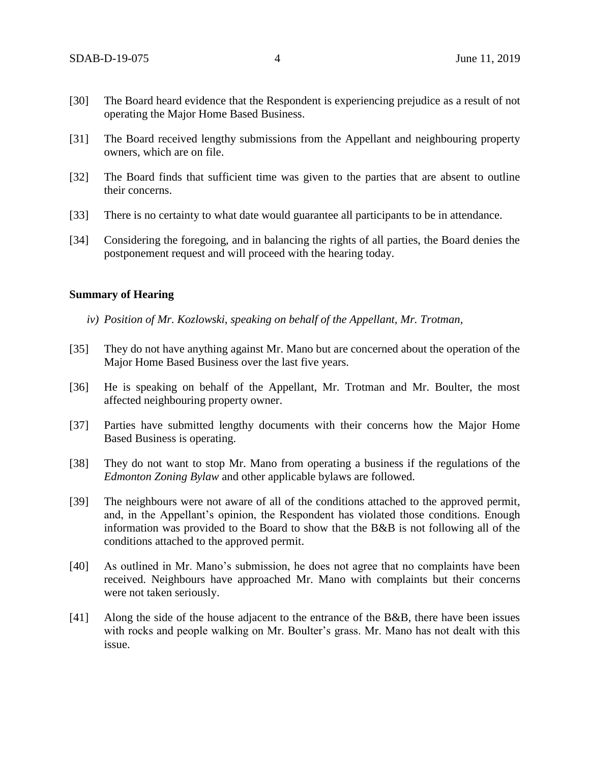- [30] The Board heard evidence that the Respondent is experiencing prejudice as a result of not operating the Major Home Based Business.
- [31] The Board received lengthy submissions from the Appellant and neighbouring property owners, which are on file.
- [32] The Board finds that sufficient time was given to the parties that are absent to outline their concerns.
- [33] There is no certainty to what date would guarantee all participants to be in attendance.
- [34] Considering the foregoing, and in balancing the rights of all parties, the Board denies the postponement request and will proceed with the hearing today.

### **Summary of Hearing**

- *iv) Position of Mr. Kozlowski, speaking on behalf of the Appellant, Mr. Trotman,*
- [35] They do not have anything against Mr. Mano but are concerned about the operation of the Major Home Based Business over the last five years.
- [36] He is speaking on behalf of the Appellant, Mr. Trotman and Mr. Boulter, the most affected neighbouring property owner.
- [37] Parties have submitted lengthy documents with their concerns how the Major Home Based Business is operating.
- [38] They do not want to stop Mr. Mano from operating a business if the regulations of the *Edmonton Zoning Bylaw* and other applicable bylaws are followed.
- [39] The neighbours were not aware of all of the conditions attached to the approved permit, and, in the Appellant's opinion, the Respondent has violated those conditions. Enough information was provided to the Board to show that the B&B is not following all of the conditions attached to the approved permit.
- [40] As outlined in Mr. Mano's submission, he does not agree that no complaints have been received. Neighbours have approached Mr. Mano with complaints but their concerns were not taken seriously.
- [41] Along the side of the house adjacent to the entrance of the B&B, there have been issues with rocks and people walking on Mr. Boulter's grass. Mr. Mano has not dealt with this issue.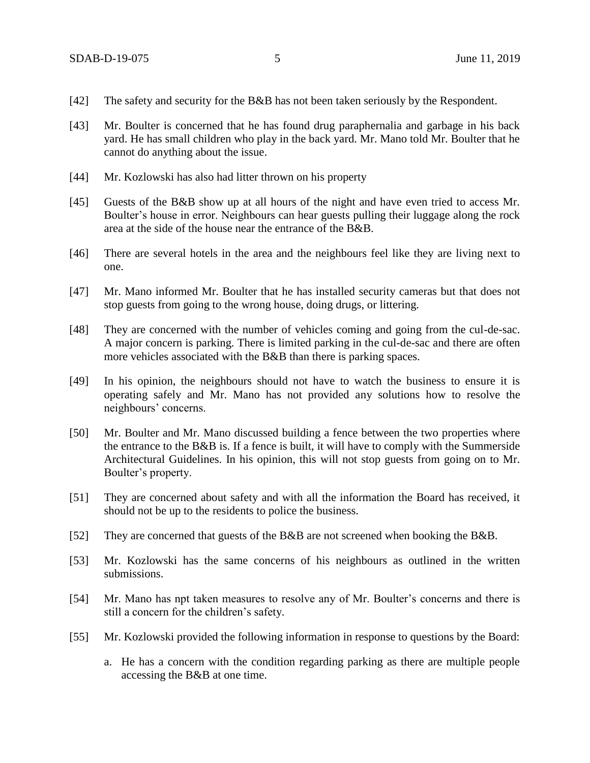- [42] The safety and security for the B&B has not been taken seriously by the Respondent.
- [43] Mr. Boulter is concerned that he has found drug paraphernalia and garbage in his back yard. He has small children who play in the back yard. Mr. Mano told Mr. Boulter that he cannot do anything about the issue.
- [44] Mr. Kozlowski has also had litter thrown on his property
- [45] Guests of the B&B show up at all hours of the night and have even tried to access Mr. Boulter's house in error. Neighbours can hear guests pulling their luggage along the rock area at the side of the house near the entrance of the B&B.
- [46] There are several hotels in the area and the neighbours feel like they are living next to one.
- [47] Mr. Mano informed Mr. Boulter that he has installed security cameras but that does not stop guests from going to the wrong house, doing drugs, or littering.
- [48] They are concerned with the number of vehicles coming and going from the cul-de-sac. A major concern is parking. There is limited parking in the cul-de-sac and there are often more vehicles associated with the B&B than there is parking spaces.
- [49] In his opinion, the neighbours should not have to watch the business to ensure it is operating safely and Mr. Mano has not provided any solutions how to resolve the neighbours' concerns.
- [50] Mr. Boulter and Mr. Mano discussed building a fence between the two properties where the entrance to the B&B is. If a fence is built, it will have to comply with the Summerside Architectural Guidelines. In his opinion, this will not stop guests from going on to Mr. Boulter's property.
- [51] They are concerned about safety and with all the information the Board has received, it should not be up to the residents to police the business.
- [52] They are concerned that guests of the B&B are not screened when booking the B&B.
- [53] Mr. Kozlowski has the same concerns of his neighbours as outlined in the written submissions.
- [54] Mr. Mano has npt taken measures to resolve any of Mr. Boulter's concerns and there is still a concern for the children's safety.
- [55] Mr. Kozlowski provided the following information in response to questions by the Board:
	- a. He has a concern with the condition regarding parking as there are multiple people accessing the B&B at one time.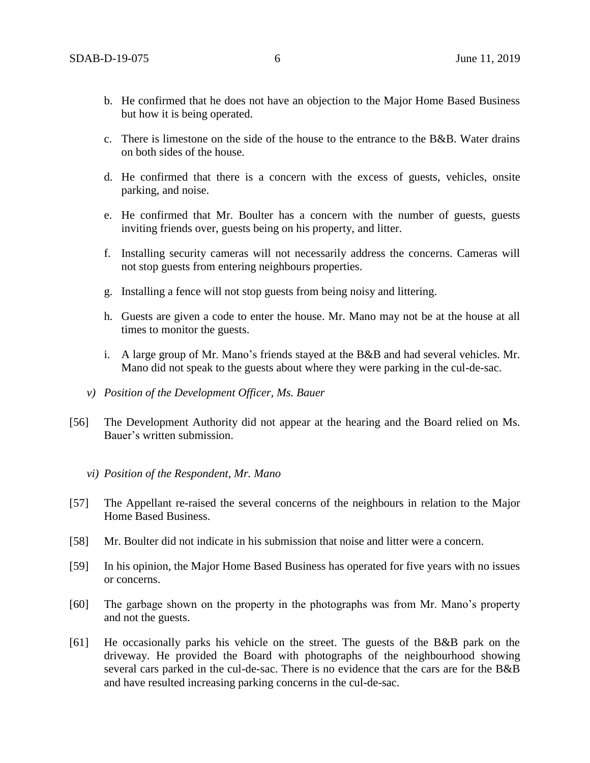- b. He confirmed that he does not have an objection to the Major Home Based Business but how it is being operated.
- c. There is limestone on the side of the house to the entrance to the  $B\&B$ . Water drains on both sides of the house.
- d. He confirmed that there is a concern with the excess of guests, vehicles, onsite parking, and noise.
- e. He confirmed that Mr. Boulter has a concern with the number of guests, guests inviting friends over, guests being on his property, and litter.
- f. Installing security cameras will not necessarily address the concerns. Cameras will not stop guests from entering neighbours properties.
- g. Installing a fence will not stop guests from being noisy and littering.
- h. Guests are given a code to enter the house. Mr. Mano may not be at the house at all times to monitor the guests.
- i. A large group of Mr. Mano's friends stayed at the B&B and had several vehicles. Mr. Mano did not speak to the guests about where they were parking in the cul-de-sac.
- *v) Position of the Development Officer, Ms. Bauer*
- [56] The Development Authority did not appear at the hearing and the Board relied on Ms. Bauer's written submission.
	- *vi) Position of the Respondent, Mr. Mano*
- [57] The Appellant re-raised the several concerns of the neighbours in relation to the Major Home Based Business.
- [58] Mr. Boulter did not indicate in his submission that noise and litter were a concern.
- [59] In his opinion, the Major Home Based Business has operated for five years with no issues or concerns.
- [60] The garbage shown on the property in the photographs was from Mr. Mano's property and not the guests.
- [61] He occasionally parks his vehicle on the street. The guests of the B&B park on the driveway. He provided the Board with photographs of the neighbourhood showing several cars parked in the cul-de-sac. There is no evidence that the cars are for the B&B and have resulted increasing parking concerns in the cul-de-sac.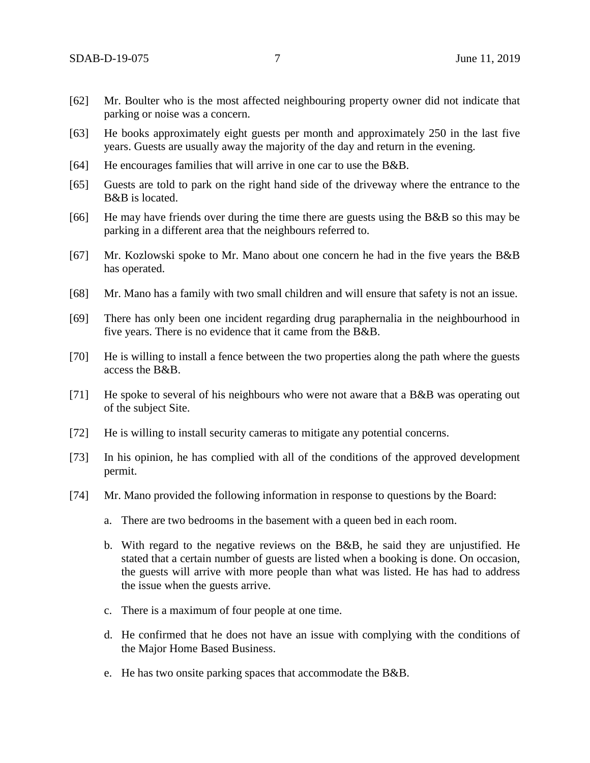- [62] Mr. Boulter who is the most affected neighbouring property owner did not indicate that parking or noise was a concern.
- [63] He books approximately eight guests per month and approximately 250 in the last five years. Guests are usually away the majority of the day and return in the evening.
- [64] He encourages families that will arrive in one car to use the B&B.
- [65] Guests are told to park on the right hand side of the driveway where the entrance to the B&B is located.
- [66] He may have friends over during the time there are guests using the B&B so this may be parking in a different area that the neighbours referred to.
- [67] Mr. Kozlowski spoke to Mr. Mano about one concern he had in the five years the B&B has operated.
- [68] Mr. Mano has a family with two small children and will ensure that safety is not an issue.
- [69] There has only been one incident regarding drug paraphernalia in the neighbourhood in five years. There is no evidence that it came from the B&B.
- [70] He is willing to install a fence between the two properties along the path where the guests access the B&B.
- [71] He spoke to several of his neighbours who were not aware that a B&B was operating out of the subject Site.
- [72] He is willing to install security cameras to mitigate any potential concerns.
- [73] In his opinion, he has complied with all of the conditions of the approved development permit.
- [74] Mr. Mano provided the following information in response to questions by the Board:
	- a. There are two bedrooms in the basement with a queen bed in each room.
	- b. With regard to the negative reviews on the B&B, he said they are unjustified. He stated that a certain number of guests are listed when a booking is done. On occasion, the guests will arrive with more people than what was listed. He has had to address the issue when the guests arrive.
	- c. There is a maximum of four people at one time.
	- d. He confirmed that he does not have an issue with complying with the conditions of the Major Home Based Business.
	- e. He has two onsite parking spaces that accommodate the B&B.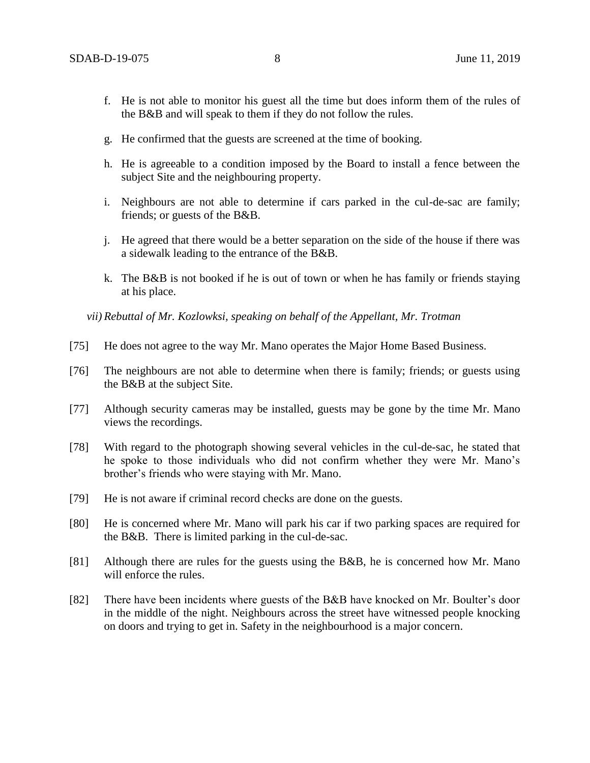- f. He is not able to monitor his guest all the time but does inform them of the rules of the B&B and will speak to them if they do not follow the rules.
- g. He confirmed that the guests are screened at the time of booking.
- h. He is agreeable to a condition imposed by the Board to install a fence between the subject Site and the neighbouring property.
- i. Neighbours are not able to determine if cars parked in the cul-de-sac are family; friends; or guests of the B&B.
- j. He agreed that there would be a better separation on the side of the house if there was a sidewalk leading to the entrance of the B&B.
- k. The B&B is not booked if he is out of town or when he has family or friends staying at his place.

*vii) Rebuttal of Mr. Kozlowksi, speaking on behalf of the Appellant, Mr. Trotman* 

- [75] He does not agree to the way Mr. Mano operates the Major Home Based Business.
- [76] The neighbours are not able to determine when there is family; friends; or guests using the B&B at the subject Site.
- [77] Although security cameras may be installed, guests may be gone by the time Mr. Mano views the recordings.
- [78] With regard to the photograph showing several vehicles in the cul-de-sac, he stated that he spoke to those individuals who did not confirm whether they were Mr. Mano's brother's friends who were staying with Mr. Mano.
- [79] He is not aware if criminal record checks are done on the guests.
- [80] He is concerned where Mr. Mano will park his car if two parking spaces are required for the B&B. There is limited parking in the cul-de-sac.
- [81] Although there are rules for the guests using the B&B, he is concerned how Mr. Mano will enforce the rules.
- [82] There have been incidents where guests of the B&B have knocked on Mr. Boulter's door in the middle of the night. Neighbours across the street have witnessed people knocking on doors and trying to get in. Safety in the neighbourhood is a major concern.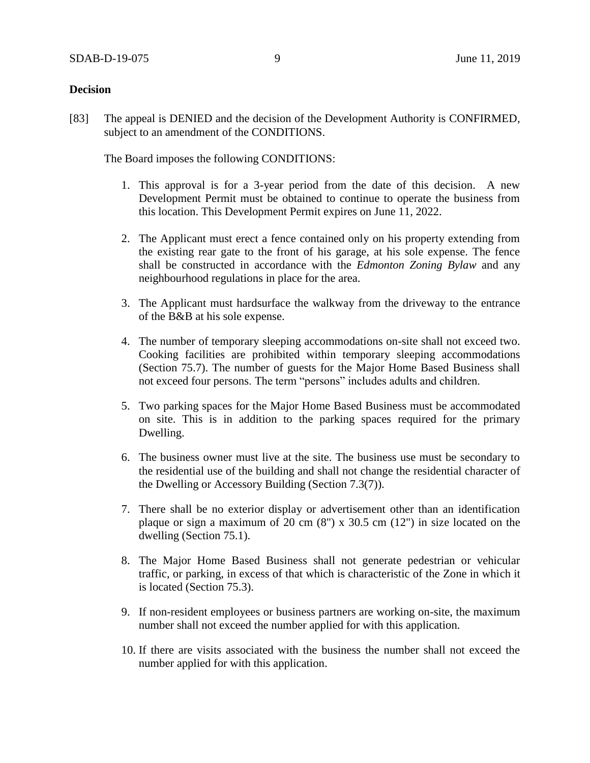### **Decision**

[83] The appeal is DENIED and the decision of the Development Authority is CONFIRMED, subject to an amendment of the CONDITIONS.

The Board imposes the following CONDITIONS:

- 1. This approval is for a 3-year period from the date of this decision. A new Development Permit must be obtained to continue to operate the business from this location. This Development Permit expires on June 11, 2022.
- 2. The Applicant must erect a fence contained only on his property extending from the existing rear gate to the front of his garage, at his sole expense. The fence shall be constructed in accordance with the *Edmonton Zoning Bylaw* and any neighbourhood regulations in place for the area.
- 3. The Applicant must hardsurface the walkway from the driveway to the entrance of the B&B at his sole expense.
- 4. The number of temporary sleeping accommodations on-site shall not exceed two. Cooking facilities are prohibited within temporary sleeping accommodations (Section 75.7). The number of guests for the Major Home Based Business shall not exceed four persons. The term "persons" includes adults and children.
- 5. Two parking spaces for the Major Home Based Business must be accommodated on site. This is in addition to the parking spaces required for the primary Dwelling.
- 6. The business owner must live at the site. The business use must be secondary to the residential use of the building and shall not change the residential character of the Dwelling or Accessory Building (Section 7.3(7)).
- 7. There shall be no exterior display or advertisement other than an identification plaque or sign a maximum of 20 cm (8") x 30.5 cm (12") in size located on the dwelling (Section 75.1).
- 8. The Major Home Based Business shall not generate pedestrian or vehicular traffic, or parking, in excess of that which is characteristic of the Zone in which it is located (Section 75.3).
- 9. If non-resident employees or business partners are working on-site, the maximum number shall not exceed the number applied for with this application.
- 10. If there are visits associated with the business the number shall not exceed the number applied for with this application.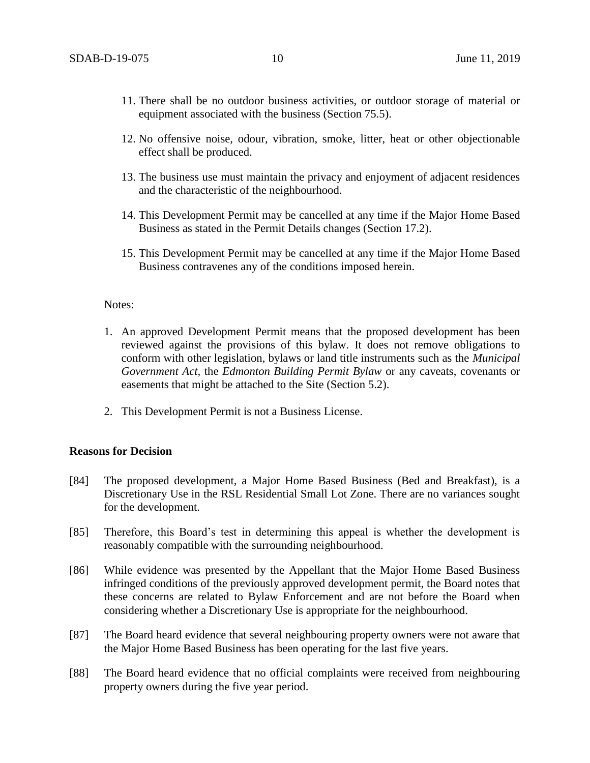- 11. There shall be no outdoor business activities, or outdoor storage of material or equipment associated with the business (Section 75.5).
- 12. No offensive noise, odour, vibration, smoke, litter, heat or other objectionable effect shall be produced.
- 13. The business use must maintain the privacy and enjoyment of adjacent residences and the characteristic of the neighbourhood.
- 14. This Development Permit may be cancelled at any time if the Major Home Based Business as stated in the Permit Details changes (Section 17.2).
- 15. This Development Permit may be cancelled at any time if the Major Home Based Business contravenes any of the conditions imposed herein.

#### Notes:

- 1. An approved Development Permit means that the proposed development has been reviewed against the provisions of this bylaw. It does not remove obligations to conform with other legislation, bylaws or land title instruments such as the *Municipal Government Act,* the *Edmonton Building Permit Bylaw* or any caveats, covenants or easements that might be attached to the Site (Section 5.2).
- 2. This Development Permit is not a Business License.

# **Reasons for Decision**

- [84] The proposed development, a Major Home Based Business (Bed and Breakfast), is a Discretionary Use in the RSL Residential Small Lot Zone. There are no variances sought for the development.
- [85] Therefore, this Board's test in determining this appeal is whether the development is reasonably compatible with the surrounding neighbourhood.
- [86] While evidence was presented by the Appellant that the Major Home Based Business infringed conditions of the previously approved development permit, the Board notes that these concerns are related to Bylaw Enforcement and are not before the Board when considering whether a Discretionary Use is appropriate for the neighbourhood.
- [87] The Board heard evidence that several neighbouring property owners were not aware that the Major Home Based Business has been operating for the last five years.
- [88] The Board heard evidence that no official complaints were received from neighbouring property owners during the five year period.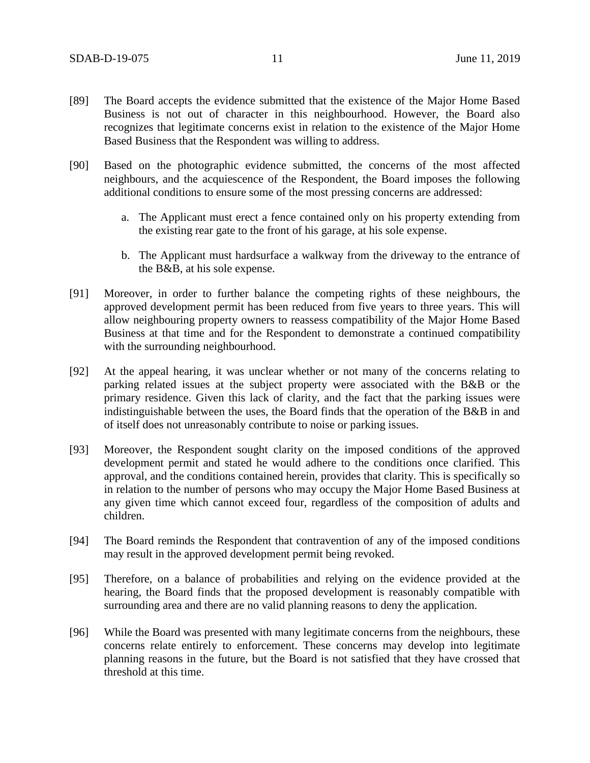- [89] The Board accepts the evidence submitted that the existence of the Major Home Based Business is not out of character in this neighbourhood. However, the Board also recognizes that legitimate concerns exist in relation to the existence of the Major Home Based Business that the Respondent was willing to address.
- [90] Based on the photographic evidence submitted, the concerns of the most affected neighbours, and the acquiescence of the Respondent, the Board imposes the following additional conditions to ensure some of the most pressing concerns are addressed:
	- a. The Applicant must erect a fence contained only on his property extending from the existing rear gate to the front of his garage, at his sole expense.
	- b. The Applicant must hardsurface a walkway from the driveway to the entrance of the B&B, at his sole expense.
- [91] Moreover, in order to further balance the competing rights of these neighbours, the approved development permit has been reduced from five years to three years. This will allow neighbouring property owners to reassess compatibility of the Major Home Based Business at that time and for the Respondent to demonstrate a continued compatibility with the surrounding neighbourhood.
- [92] At the appeal hearing, it was unclear whether or not many of the concerns relating to parking related issues at the subject property were associated with the B&B or the primary residence. Given this lack of clarity, and the fact that the parking issues were indistinguishable between the uses, the Board finds that the operation of the B&B in and of itself does not unreasonably contribute to noise or parking issues.
- [93] Moreover, the Respondent sought clarity on the imposed conditions of the approved development permit and stated he would adhere to the conditions once clarified. This approval, and the conditions contained herein, provides that clarity. This is specifically so in relation to the number of persons who may occupy the Major Home Based Business at any given time which cannot exceed four, regardless of the composition of adults and children.
- [94] The Board reminds the Respondent that contravention of any of the imposed conditions may result in the approved development permit being revoked.
- [95] Therefore, on a balance of probabilities and relying on the evidence provided at the hearing, the Board finds that the proposed development is reasonably compatible with surrounding area and there are no valid planning reasons to deny the application.
- [96] While the Board was presented with many legitimate concerns from the neighbours, these concerns relate entirely to enforcement. These concerns may develop into legitimate planning reasons in the future, but the Board is not satisfied that they have crossed that threshold at this time.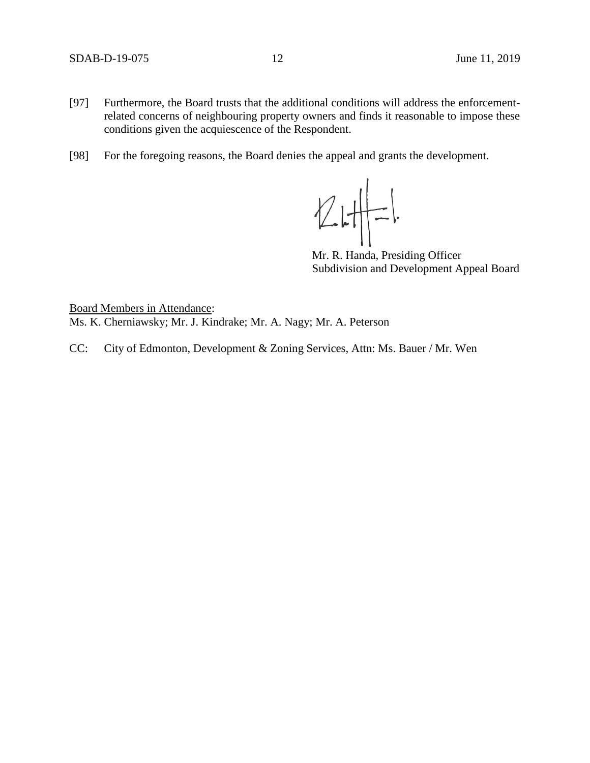- [97] Furthermore, the Board trusts that the additional conditions will address the enforcementrelated concerns of neighbouring property owners and finds it reasonable to impose these conditions given the acquiescence of the Respondent.
- [98] For the foregoing reasons, the Board denies the appeal and grants the development.

 $21 - 1$ 

Mr. R. Handa, Presiding Officer Subdivision and Development Appeal Board

Board Members in Attendance: Ms. K. Cherniawsky; Mr. J. Kindrake; Mr. A. Nagy; Mr. A. Peterson

CC: City of Edmonton, Development & Zoning Services, Attn: Ms. Bauer / Mr. Wen